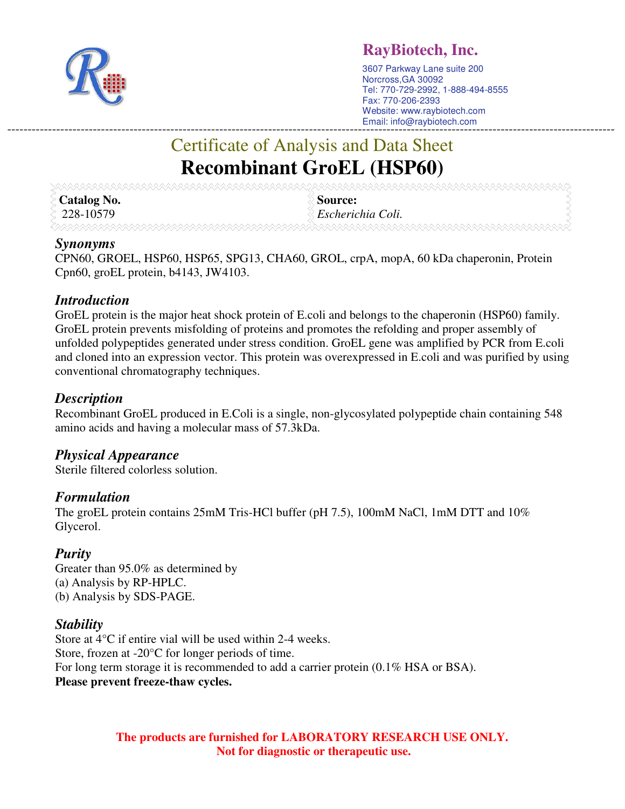

## **RayBiotech, Inc.**

3607 Parkway Lane suite 200 Norcross,GA 30092 Tel: 770-729-2992, 1-888-494-8555 Fax: 770-206-2393 Website: www.raybiotech.com Email: info@raybiotech.com -----------------------------------------------------------------------------------------------------------------------------------------------------

# Certificate of Analysis and Data Sheet **Recombinant GroEL (HSP60)**

| <b>Catalog No.</b> | Source:           |
|--------------------|-------------------|
| 228-10579          | Escherichia Coli. |
|                    |                   |

#### *Synonyms*

CPN60, GROEL, HSP60, HSP65, SPG13, CHA60, GROL, crpA, mopA, 60 kDa chaperonin, Protein Cpn60, groEL protein, b4143, JW4103.

#### *Introduction*

GroEL protein is the major heat shock protein of E.coli and belongs to the chaperonin (HSP60) family. GroEL protein prevents misfolding of proteins and promotes the refolding and proper assembly of unfolded polypeptides generated under stress condition. GroEL gene was amplified by PCR from E.coli and cloned into an expression vector. This protein was overexpressed in E.coli and was purified by using conventional chromatography techniques.

### *Description*

Recombinant GroEL produced in E.Coli is a single, non-glycosylated polypeptide chain containing 548 amino acids and having a molecular mass of 57.3kDa.

#### *Physical Appearance*

Sterile filtered colorless solution.

#### *Formulation*

The groEL protein contains 25mM Tris-HCl buffer (pH 7.5), 100mM NaCl, 1mM DTT and 10% Glycerol.

#### *Purity*

Greater than 95.0% as determined by (a) Analysis by RP-HPLC. (b) Analysis by SDS-PAGE.

#### *Stability*

Store at 4°C if entire vial will be used within 2-4 weeks. Store, frozen at -20°C for longer periods of time. For long term storage it is recommended to add a carrier protein (0.1% HSA or BSA). **Please prevent freeze-thaw cycles.** 

> **The products are furnished for LABORATORY RESEARCH USE ONLY. Not for diagnostic or therapeutic use.**